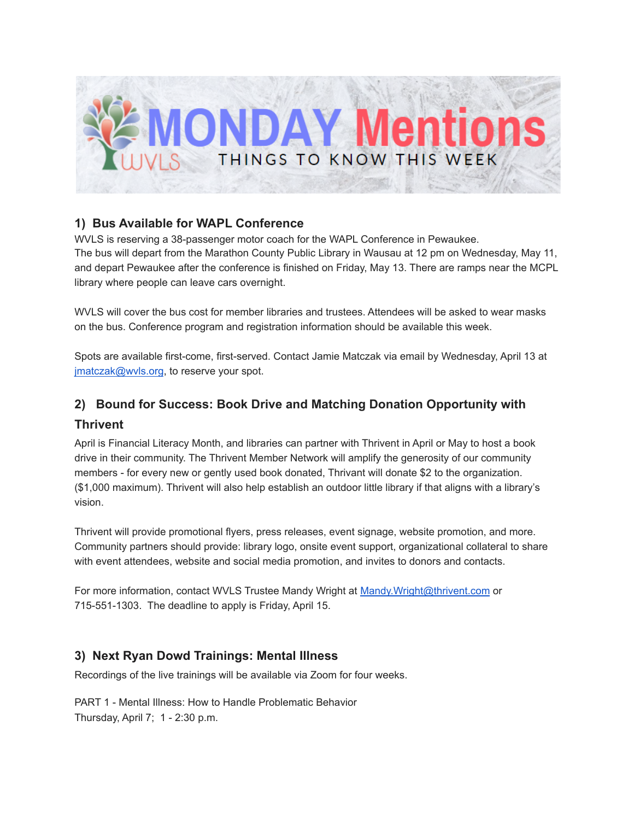

## **1) Bus Available for WAPL Conference**

WVLS is reserving a 38-passenger motor coach for the WAPL Conference in Pewaukee. The bus will depart from the Marathon County Public Library in Wausau at 12 pm on Wednesday, May 11, and depart Pewaukee after the conference is finished on Friday, May 13. There are ramps near the MCPL library where people can leave cars overnight.

WVLS will cover the bus cost for member libraries and trustees. Attendees will be asked to wear masks on the bus. Conference program and registration information should be available this week.

Spots are available first-come, first-served. Contact Jamie Matczak via email by Wednesday, April 13 at jmatczak@wvls.org, to reserve your spot.

# **2) Bound for Success: Book Drive and Matching Donation Opportunity with Thrivent**

April is Financial Literacy Month, and libraries can partner with Thrivent in April or May to host a book drive in their community. The Thrivent Member Network will amplify the generosity of our community members - for every new or gently used book donated, Thrivant will donate \$2 to the organization. (\$1,000 maximum). Thrivent will also help establish an outdoor little library if that aligns with a library's vision.

Thrivent will provide promotional flyers, press releases, event signage, website promotion, and more. Community partners should provide: library logo, onsite event support, organizational collateral to share with event attendees, website and social media promotion, and invites to donors and contacts.

For more information, contact WVLS Trustee Mandy Wright at Mandy. Wright@thrivent.com or 715-551-1303. The deadline to apply is Friday, April 15.

### **3) Next Ryan Dowd Trainings: Mental Illness**

Recordings of the live trainings will be available via Zoom for four weeks.

PART 1 - Mental Illness: How to Handle Problematic Behavior Thursday, April 7; 1 - 2:30 p.m.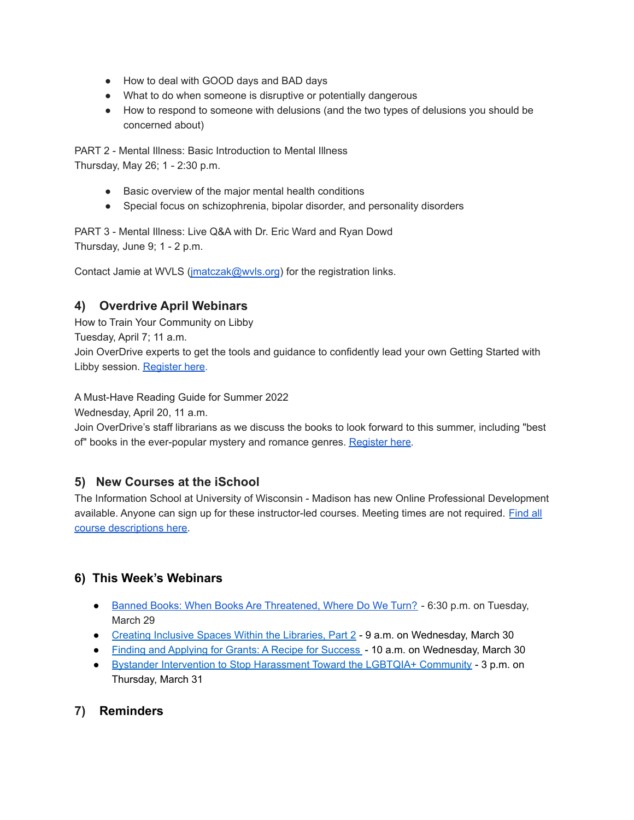- How to deal with GOOD days and BAD days
- What to do when someone is disruptive or potentially dangerous
- How to respond to someone with delusions (and the two types of delusions you should be concerned about)

PART 2 - Mental Illness: Basic Introduction to Mental Illness Thursday, May 26; 1 - 2:30 p.m.

- Basic overview of the major mental health conditions
- Special focus on schizophrenia, bipolar disorder, and personality disorders

PART 3 - Mental Illness: Live Q&A with Dr. Eric Ward and Ryan Dowd Thursday, June 9; 1 - 2 p.m.

Contact Jamie at WVLS (*imatczak@wvls.org*) for the registration links.

## **4) Overdrive April Webinars**

How to Train Your Community on Libby Tuesday, April 7; 11 a.m. Join OverDrive experts to get the tools and guidance to confidently lead your own Getting Started with Libby session. [Register](https://overdrive.zoom.us/webinar/register/WN_rrOH4wG9Sbycx_w7zeGQtw?utm_medium=email&utm_source=sfmc&utm_content=dlr_training_webinar_20220324) here.

A Must-Have Reading Guide for Summer 2022

Wednesday, April 20, 11 a.m.

Join OverDrive's staff librarians as we discuss the books to look forward to this summer, including "best of" books in the ever-popular mystery and romance genres. [Register](https://overdrive.zoom.us/webinar/register/WN_ySlWKTcMTB6RCd02bBRAmQ?utm_medium=email&utm_source=sfmc&utm_content=dlr_training_webinar_20220324) here.

### **5) New Courses at the iSchool**

The Information School at University of Wisconsin - Madison has new Online Professional Development available. Anyone can sign up for these instructor-led courses. Meeting times are not required. [Find](https://ischool.wisc.edu/continuing-education) all course [descriptions](https://ischool.wisc.edu/continuing-education) here.

### **6) This Week's Webinars**

- Banned Books: When Books Are [Threatened,](https://sites.prh.com/banned-books-event-2022?ref=PRHF21DC599E068&aid=38013&linkid=PRHF21DC599E068#PRH) Where Do We Turn? 6:30 p.m. on Tuesday, March 29
- Creating Inclusive Spaces Within the [Libraries,](https://ndstate.co1.qualtrics.com/jfe/form/SV_eUHdq2ymqNodBl4) Part 2 9 a.m. on Wednesday, March 30
- Finding and [Applying](https://us02web.zoom.us/webinar/register/WN_SAX3am-VRr6QYgTbNQ226w) for Grants: A Recipe for Success 10 a.m. on Wednesday, March 30
- Bystander Intervention to Stop [Harassment](https://zoom.us/webinar/register/WN_Q1mDMfYURc-KHrkvyCwvdg?timezone_id=America%2FChicago) Toward the LGBTQIA+ Community 3 p.m. on Thursday, March 31

## **7) Reminders**